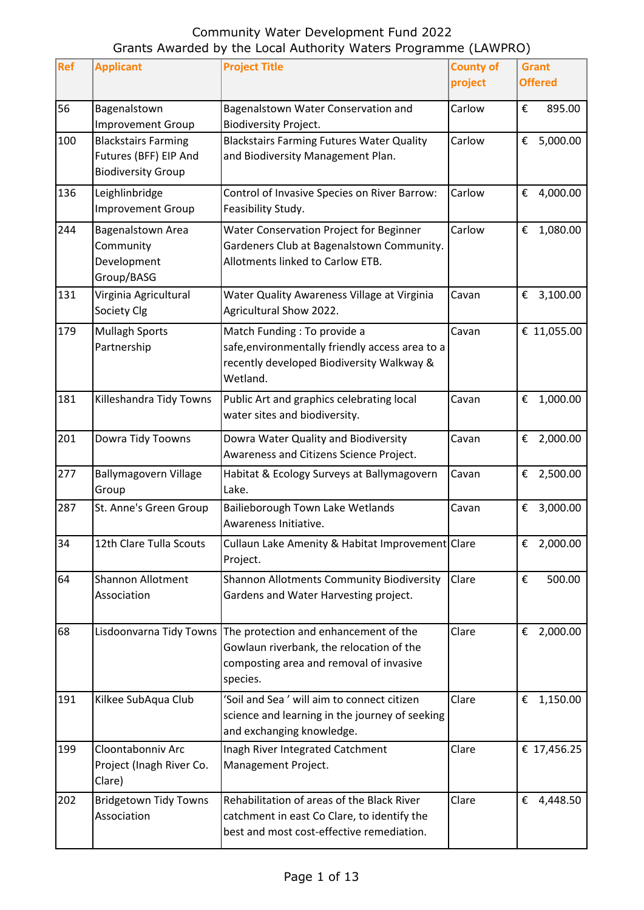| <b>Ref</b> | <b>Applicant</b>                                                                 | <b>Project Title</b>                                                                                                                     | <b>County of</b> | <b>Grant</b>   |
|------------|----------------------------------------------------------------------------------|------------------------------------------------------------------------------------------------------------------------------------------|------------------|----------------|
|            |                                                                                  |                                                                                                                                          | project          | <b>Offered</b> |
| 56         | Bagenalstown<br><b>Improvement Group</b>                                         | Bagenalstown Water Conservation and<br><b>Biodiversity Project.</b>                                                                      | Carlow           | €<br>895.00    |
| 100        | <b>Blackstairs Farming</b><br>Futures (BFF) EIP And<br><b>Biodiversity Group</b> | <b>Blackstairs Farming Futures Water Quality</b><br>and Biodiversity Management Plan.                                                    | Carlow           | 5,000.00<br>€  |
| 136        | Leighlinbridge<br><b>Improvement Group</b>                                       | Control of Invasive Species on River Barrow:<br>Feasibility Study.                                                                       | Carlow           | 4,000.00<br>€  |
| 244        | Bagenalstown Area<br>Community<br>Development<br>Group/BASG                      | Water Conservation Project for Beginner<br>Gardeners Club at Bagenalstown Community.<br>Allotments linked to Carlow ETB.                 | Carlow           | 1,080.00<br>€  |
| 131        | Virginia Agricultural<br>Society Clg                                             | Water Quality Awareness Village at Virginia<br>Agricultural Show 2022.                                                                   | Cavan            | € 3,100.00     |
| 179        | <b>Mullagh Sports</b><br>Partnership                                             | Match Funding : To provide a<br>safe, environmentally friendly access area to a<br>recently developed Biodiversity Walkway &<br>Wetland. | Cavan            | € 11,055.00    |
| 181        | Killeshandra Tidy Towns                                                          | Public Art and graphics celebrating local<br>water sites and biodiversity.                                                               | Cavan            | 1,000.00<br>€  |
| 201        | Dowra Tidy Toowns                                                                | Dowra Water Quality and Biodiversity<br>Awareness and Citizens Science Project.                                                          | Cavan            | 2,000.00<br>€  |
| 277        | Ballymagovern Village<br>Group                                                   | Habitat & Ecology Surveys at Ballymagovern<br>Lake.                                                                                      | Cavan            | € 2,500.00     |
| 287        | St. Anne's Green Group                                                           | Bailieborough Town Lake Wetlands<br>Awareness Initiative.                                                                                | Cavan            | 3,000.00<br>€  |
| 34         | 12th Clare Tulla Scouts                                                          | Cullaun Lake Amenity & Habitat Improvement Clare<br>Project.                                                                             |                  | € 2,000.00     |
| 64         | <b>Shannon Allotment</b><br>Association                                          | Shannon Allotments Community Biodiversity<br>Gardens and Water Harvesting project.                                                       | Clare            | 500.00<br>€    |
| 68         | Lisdoonvarna Tidy Towns                                                          | The protection and enhancement of the<br>Gowlaun riverbank, the relocation of the<br>composting area and removal of invasive<br>species. | Clare            | € 2,000.00     |
| 191        | Kilkee SubAqua Club                                                              | 'Soil and Sea' will aim to connect citizen<br>science and learning in the journey of seeking<br>and exchanging knowledge.                | Clare            | €<br>1,150.00  |
| 199        | Cloontabonniv Arc<br>Project (Inagh River Co.<br>Clare)                          | Inagh River Integrated Catchment<br>Management Project.                                                                                  | Clare            | € 17,456.25    |
| 202        | <b>Bridgetown Tidy Towns</b><br>Association                                      | Rehabilitation of areas of the Black River<br>catchment in east Co Clare, to identify the<br>best and most cost-effective remediation.   | Clare            | € 4,448.50     |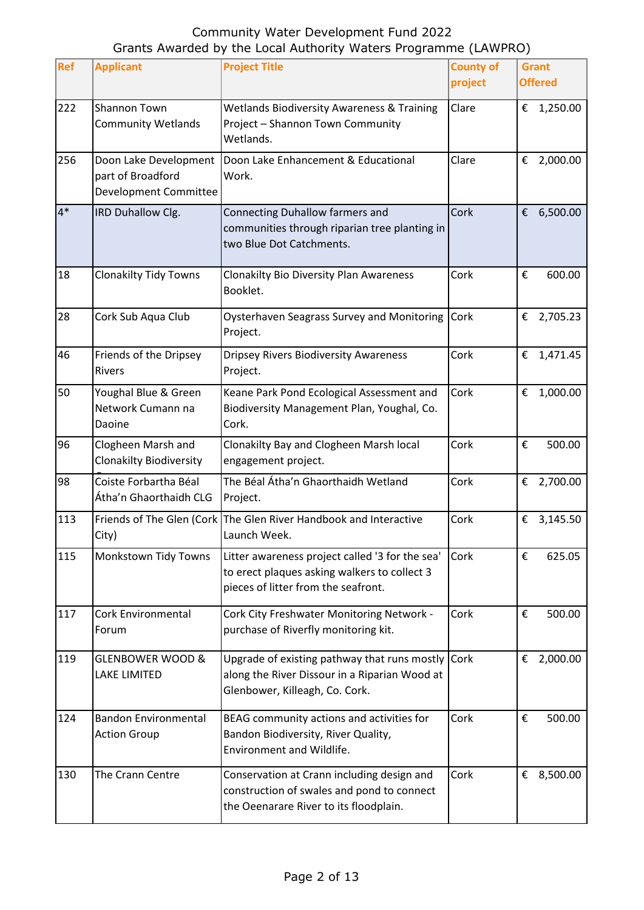| Ref  | <b>Applicant</b>                                                    | <b>Project Title</b>                                                                                                                   | <b>County of</b><br>project | <b>Grant</b><br><b>Offered</b> |
|------|---------------------------------------------------------------------|----------------------------------------------------------------------------------------------------------------------------------------|-----------------------------|--------------------------------|
| 222  | Shannon Town<br><b>Community Wetlands</b>                           | <b>Wetlands Biodiversity Awareness &amp; Training</b><br>Project - Shannon Town Community<br>Wetlands.                                 | Clare                       | € 1,250.00                     |
| 256  | Doon Lake Development<br>part of Broadford<br>Development Committee | Doon Lake Enhancement & Educational<br>Work.                                                                                           | Clare                       | 2,000.00<br>€                  |
| $4*$ | IRD Duhallow Clg.                                                   | Connecting Duhallow farmers and<br>communities through riparian tree planting in<br>two Blue Dot Catchments.                           | Cork                        | 6,500.00<br>€                  |
| 18   | <b>Clonakilty Tidy Towns</b>                                        | <b>Clonakilty Bio Diversity Plan Awareness</b><br>Booklet.                                                                             | Cork                        | €<br>600.00                    |
| 28   | Cork Sub Aqua Club                                                  | Oysterhaven Seagrass Survey and Monitoring<br>Project.                                                                                 | Cork                        | € 2,705.23                     |
| 46   | Friends of the Dripsey<br><b>Rivers</b>                             | <b>Dripsey Rivers Biodiversity Awareness</b><br>Project.                                                                               | Cork                        | 1,471.45<br>€                  |
| 50   | Youghal Blue & Green<br>Network Cumann na<br>Daoine                 | Keane Park Pond Ecological Assessment and<br>Biodiversity Management Plan, Youghal, Co.<br>Cork.                                       | Cork                        | 1,000.00<br>€                  |
| 96   | Clogheen Marsh and<br><b>Clonakilty Biodiversity</b>                | Clonakilty Bay and Clogheen Marsh local<br>engagement project.                                                                         | Cork                        | €<br>500.00                    |
| 98   | Coiste Forbartha Béal<br>Átha'n Ghaorthaidh CLG                     | The Béal Átha'n Ghaorthaidh Wetland<br>Project.                                                                                        | Cork                        | 2,700.00<br>€                  |
| 113  | City)                                                               | Friends of The Glen (Cork The Glen River Handbook and Interactive<br>Launch Week.                                                      | Cork                        | €<br>3,145.50                  |
| 115  | Monkstown Tidy Towns                                                | Litter awareness project called '3 for the sea'<br>to erect plaques asking walkers to collect 3<br>pieces of litter from the seafront. | Cork                        | 625.05<br>€                    |
| 117  | Cork Environmental<br>Forum                                         | Cork City Freshwater Monitoring Network -<br>purchase of Riverfly monitoring kit.                                                      | Cork                        | €<br>500.00                    |
| 119  | <b>GLENBOWER WOOD &amp;</b><br><b>LAKE LIMITED</b>                  | Upgrade of existing pathway that runs mostly<br>along the River Dissour in a Riparian Wood at<br>Glenbower, Killeagh, Co. Cork.        | Cork                        | 2,000.00<br>€                  |
| 124  | <b>Bandon Environmental</b><br><b>Action Group</b>                  | BEAG community actions and activities for<br>Bandon Biodiversity, River Quality,<br>Environment and Wildlife.                          | Cork                        | €<br>500.00                    |
| 130  | The Crann Centre                                                    | Conservation at Crann including design and<br>construction of swales and pond to connect<br>the Oeenarare River to its floodplain.     | Cork                        | €<br>8,500.00                  |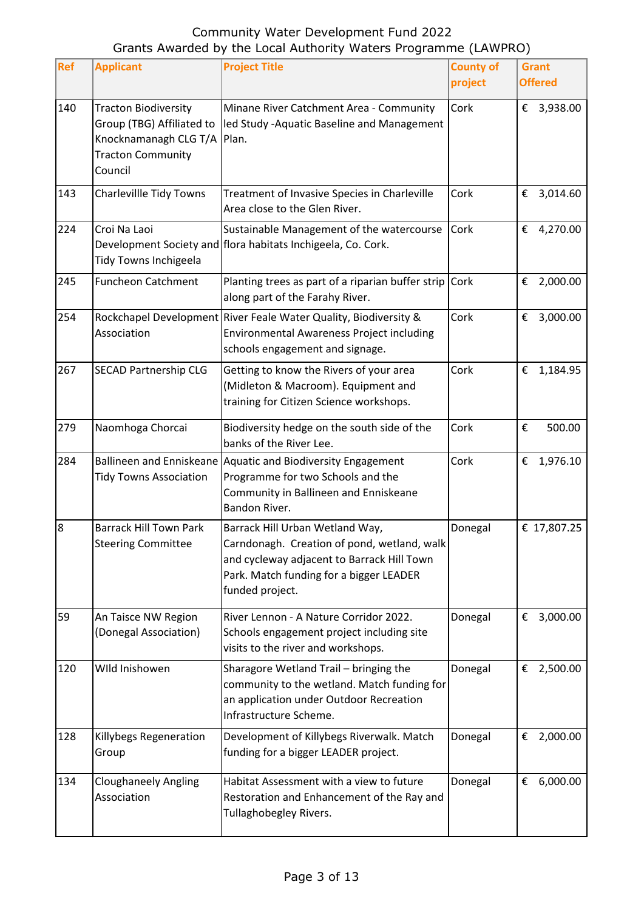| Ref | <b>Applicant</b>                                                                                                                 | <b>Project Title</b>                                                                                                                                                                       | <b>County of</b><br>project | <b>Grant</b><br><b>Offered</b> |
|-----|----------------------------------------------------------------------------------------------------------------------------------|--------------------------------------------------------------------------------------------------------------------------------------------------------------------------------------------|-----------------------------|--------------------------------|
| 140 | <b>Tracton Biodiversity</b><br>Group (TBG) Affiliated to<br>Knocknamanagh CLG T/A   Plan.<br><b>Tracton Community</b><br>Council | Minane River Catchment Area - Community<br>led Study - Aquatic Baseline and Management                                                                                                     | Cork                        | € 3,938.00                     |
| 143 | Charlevillle Tidy Towns                                                                                                          | Treatment of Invasive Species in Charleville<br>Area close to the Glen River.                                                                                                              | Cork                        | € 3,014.60                     |
| 224 | Croi Na Laoi<br>Tidy Towns Inchigeela                                                                                            | Sustainable Management of the watercourse<br>Development Society and flora habitats Inchigeela, Co. Cork.                                                                                  | Cork                        | € 4,270.00                     |
| 245 | <b>Funcheon Catchment</b>                                                                                                        | Planting trees as part of a riparian buffer strip<br>along part of the Farahy River.                                                                                                       | Cork                        | 2,000.00<br>€                  |
| 254 | Association                                                                                                                      | Rockchapel Development River Feale Water Quality, Biodiversity &<br><b>Environmental Awareness Project including</b><br>schools engagement and signage.                                    | Cork                        | €<br>3,000.00                  |
| 267 | <b>SECAD Partnership CLG</b>                                                                                                     | Getting to know the Rivers of your area<br>(Midleton & Macroom). Equipment and<br>training for Citizen Science workshops.                                                                  | Cork                        | €<br>1,184.95                  |
| 279 | Naomhoga Chorcai                                                                                                                 | Biodiversity hedge on the south side of the<br>banks of the River Lee.                                                                                                                     | Cork                        | €<br>500.00                    |
| 284 | <b>Ballineen and Enniskeane</b><br><b>Tidy Towns Association</b>                                                                 | Aquatic and Biodiversity Engagement<br>Programme for two Schools and the<br>Community in Ballineen and Enniskeane<br>Bandon River.                                                         | Cork                        | 1,976.10<br>€                  |
| 8   | <b>Barrack Hill Town Park</b><br><b>Steering Committee</b>                                                                       | Barrack Hill Urban Wetland Way,<br>Carndonagh. Creation of pond, wetland, walk<br>and cycleway adjacent to Barrack Hill Town<br>Park. Match funding for a bigger LEADER<br>funded project. | Donegal                     | € 17,807.25                    |
| 59  | An Taisce NW Region<br>(Donegal Association)                                                                                     | River Lennon - A Nature Corridor 2022.<br>Schools engagement project including site<br>visits to the river and workshops.                                                                  | Donegal                     | €<br>3,000.00                  |
| 120 | Wild Inishowen                                                                                                                   | Sharagore Wetland Trail - bringing the<br>community to the wetland. Match funding for<br>an application under Outdoor Recreation<br>Infrastructure Scheme.                                 | Donegal                     | 2,500.00<br>€                  |
| 128 | Killybegs Regeneration<br>Group                                                                                                  | Development of Killybegs Riverwalk. Match<br>funding for a bigger LEADER project.                                                                                                          | Donegal                     | €<br>2,000.00                  |
| 134 | <b>Cloughaneely Angling</b><br>Association                                                                                       | Habitat Assessment with a view to future<br>Restoration and Enhancement of the Ray and<br>Tullaghobegley Rivers.                                                                           | Donegal                     | €<br>6,000.00                  |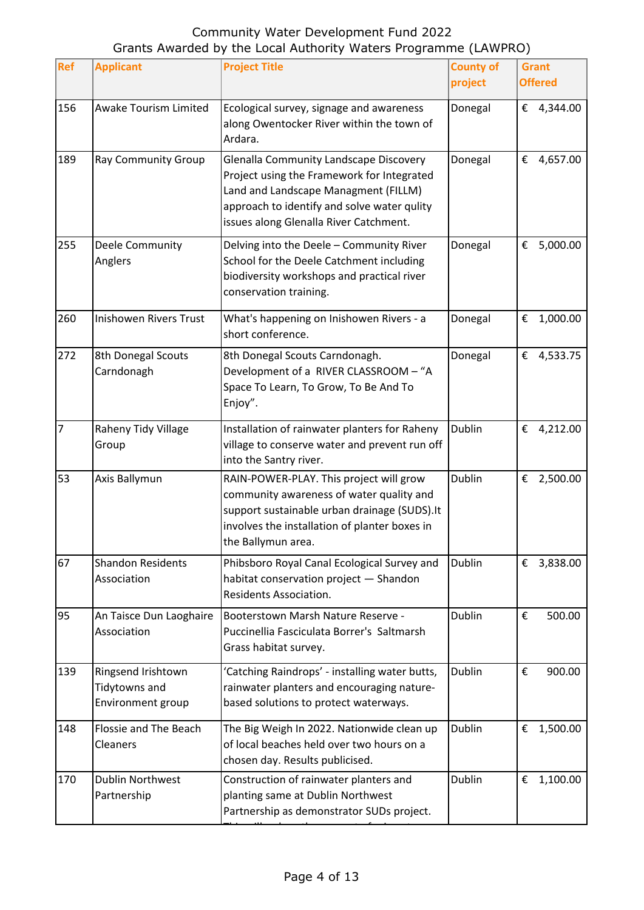| <b>Ref</b> | <b>Applicant</b>                                         | <b>Project Title</b>                                                                                                                                                                                                  | <b>County of</b><br>project | <b>Grant</b><br><b>Offered</b> |
|------------|----------------------------------------------------------|-----------------------------------------------------------------------------------------------------------------------------------------------------------------------------------------------------------------------|-----------------------------|--------------------------------|
| 156        | Awake Tourism Limited                                    | Ecological survey, signage and awareness<br>along Owentocker River within the town of<br>Ardara.                                                                                                                      | Donegal                     | € 4,344.00                     |
| 189        | <b>Ray Community Group</b>                               | Glenalla Community Landscape Discovery<br>Project using the Framework for Integrated<br>Land and Landscape Managment (FILLM)<br>approach to identify and solve water qulity<br>issues along Glenalla River Catchment. | Donegal                     | 4,657.00<br>€                  |
| 255        | Deele Community<br>Anglers                               | Delving into the Deele - Community River<br>School for the Deele Catchment including<br>biodiversity workshops and practical river<br>conservation training.                                                          | Donegal                     | 5,000.00<br>€                  |
| 260        | <b>Inishowen Rivers Trust</b>                            | What's happening on Inishowen Rivers - a<br>short conference.                                                                                                                                                         | Donegal                     | 1,000.00<br>€                  |
| 272        | 8th Donegal Scouts<br>Carndonagh                         | 8th Donegal Scouts Carndonagh.<br>Development of a RIVER CLASSROOM - "A<br>Space To Learn, To Grow, To Be And To<br>Enjoy".                                                                                           | Donegal                     | 4,533.75<br>€                  |
| 7          | Raheny Tidy Village<br>Group                             | Installation of rainwater planters for Raheny<br>village to conserve water and prevent run off<br>into the Santry river.                                                                                              | Dublin                      | €<br>4,212.00                  |
| 53         | Axis Ballymun                                            | RAIN-POWER-PLAY. This project will grow<br>community awareness of water quality and<br>support sustainable urban drainage (SUDS). It<br>involves the installation of planter boxes in<br>the Ballymun area.           | Dublin                      | 2,500.00<br>€                  |
| 67         | <b>Shandon Residents</b><br>Association                  | Phibsboro Royal Canal Ecological Survey and<br>habitat conservation project - Shandon<br>Residents Association.                                                                                                       | <b>Dublin</b>               | 3,838.00<br>€                  |
| 95         | An Taisce Dun Laoghaire<br>Association                   | Booterstown Marsh Nature Reserve -<br>Puccinellia Fasciculata Borrer's Saltmarsh<br>Grass habitat survey.                                                                                                             | <b>Dublin</b>               | €<br>500.00                    |
| 139        | Ringsend Irishtown<br>Tidytowns and<br>Environment group | 'Catching Raindrops' - installing water butts,<br>rainwater planters and encouraging nature-<br>based solutions to protect waterways.                                                                                 | Dublin                      | €<br>900.00                    |
| 148        | Flossie and The Beach<br>Cleaners                        | The Big Weigh In 2022. Nationwide clean up<br>of local beaches held over two hours on a<br>chosen day. Results publicised.                                                                                            | <b>Dublin</b>               | €<br>1,500.00                  |
| 170        | <b>Dublin Northwest</b><br>Partnership                   | Construction of rainwater planters and<br>planting same at Dublin Northwest<br>Partnership as demonstrator SUDs project.                                                                                              | <b>Dublin</b>               | €<br>1,100.00                  |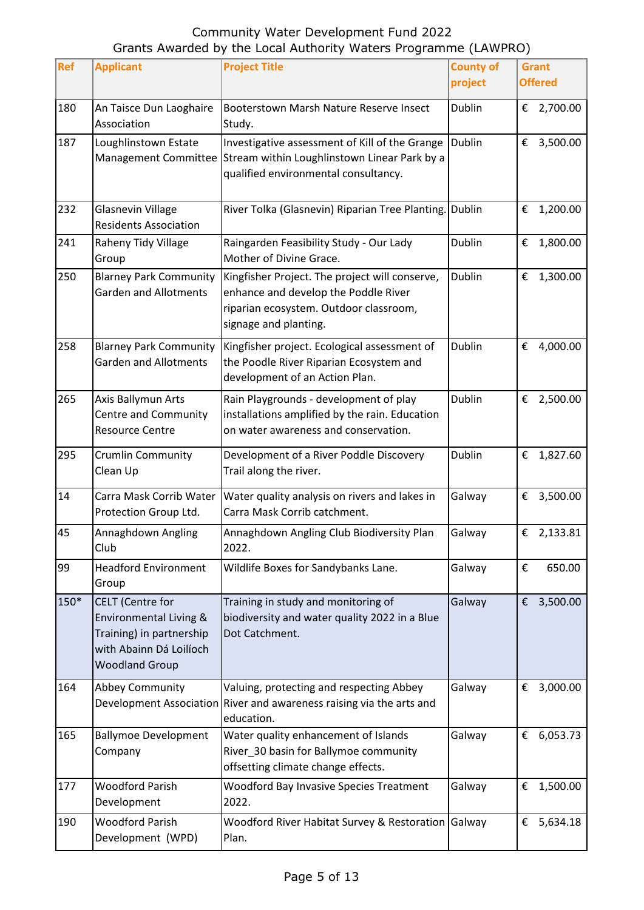| Ref  | <b>Applicant</b>                                                                                                                  | <b>Project Title</b>                                                                                                                                        | <b>County of</b><br>project | <b>Grant</b><br><b>Offered</b> |
|------|-----------------------------------------------------------------------------------------------------------------------------------|-------------------------------------------------------------------------------------------------------------------------------------------------------------|-----------------------------|--------------------------------|
| 180  | An Taisce Dun Laoghaire<br>Association                                                                                            | Booterstown Marsh Nature Reserve Insect<br>Study.                                                                                                           | Dublin                      | € 2,700.00                     |
| 187  | Loughlinstown Estate                                                                                                              | Investigative assessment of Kill of the Grange<br>Management Committee Stream within Loughlinstown Linear Park by a<br>qualified environmental consultancy. | <b>Dublin</b>               | €<br>3,500.00                  |
| 232  | <b>Glasnevin Village</b><br><b>Residents Association</b>                                                                          | River Tolka (Glasnevin) Riparian Tree Planting. Dublin                                                                                                      |                             | 1,200.00<br>€                  |
| 241  | Raheny Tidy Village<br>Group                                                                                                      | Raingarden Feasibility Study - Our Lady<br>Mother of Divine Grace.                                                                                          | <b>Dublin</b>               | €<br>1,800.00                  |
| 250  | <b>Blarney Park Community</b><br><b>Garden and Allotments</b>                                                                     | Kingfisher Project. The project will conserve,<br>enhance and develop the Poddle River<br>riparian ecosystem. Outdoor classroom,<br>signage and planting.   | <b>Dublin</b>               | €<br>1,300.00                  |
| 258  | <b>Blarney Park Community</b><br><b>Garden and Allotments</b>                                                                     | Kingfisher project. Ecological assessment of<br>the Poodle River Riparian Ecosystem and<br>development of an Action Plan.                                   | <b>Dublin</b>               | €<br>4,000.00                  |
| 265  | Axis Ballymun Arts<br><b>Centre and Community</b><br><b>Resource Centre</b>                                                       | Rain Playgrounds - development of play<br>installations amplified by the rain. Education<br>on water awareness and conservation.                            | Dublin                      | 2,500.00<br>€                  |
| 295  | <b>Crumlin Community</b><br>Clean Up                                                                                              | Development of a River Poddle Discovery<br>Trail along the river.                                                                                           | Dublin                      | €<br>1,827.60                  |
| 14   | Carra Mask Corrib Water<br>Protection Group Ltd.                                                                                  | Water quality analysis on rivers and lakes in<br>Carra Mask Corrib catchment.                                                                               | Galway                      | 3,500.00<br>€                  |
| 45   | Annaghdown Angling<br>Club                                                                                                        | Annaghdown Angling Club Biodiversity Plan<br>2022.                                                                                                          | Galway                      | € 2,133.81                     |
| 99   | <b>Headford Environment</b><br>Group                                                                                              | Wildlife Boxes for Sandybanks Lane.                                                                                                                         | Galway                      | €<br>650.00                    |
| 150* | <b>CELT</b> (Centre for<br>Environmental Living &<br>Training) in partnership<br>with Abainn Dá Loilíoch<br><b>Woodland Group</b> | Training in study and monitoring of<br>biodiversity and water quality 2022 in a Blue<br>Dot Catchment.                                                      | Galway                      | € 3,500.00                     |
| 164  | <b>Abbey Community</b>                                                                                                            | Valuing, protecting and respecting Abbey<br>Development Association River and awareness raising via the arts and<br>education.                              | Galway                      | €<br>3,000.00                  |
| 165  | <b>Ballymoe Development</b><br>Company                                                                                            | Water quality enhancement of Islands<br>River_30 basin for Ballymoe community<br>offsetting climate change effects.                                         | Galway                      | 6,053.73<br>€                  |
| 177  | <b>Woodford Parish</b><br>Development                                                                                             | <b>Woodford Bay Invasive Species Treatment</b><br>2022.                                                                                                     | Galway                      | €<br>1,500.00                  |
| 190  | <b>Woodford Parish</b><br>Development (WPD)                                                                                       | Woodford River Habitat Survey & Restoration<br>Plan.                                                                                                        | Galway                      | 5,634.18<br>€                  |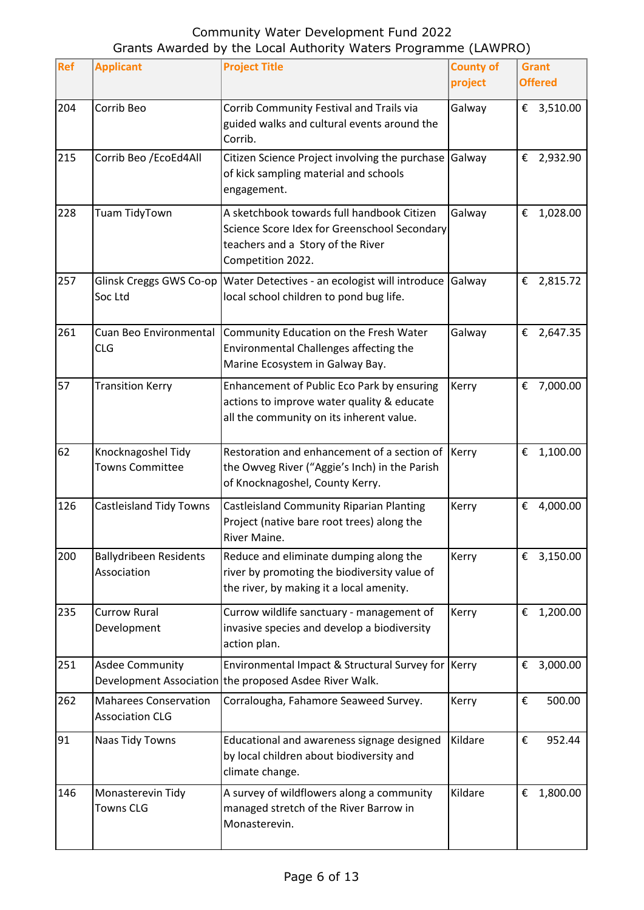| Ref | <b>Applicant</b>                                       | <b>Project Title</b>                                                                                                                                 | <b>County of</b><br>project | <b>Grant</b><br><b>Offered</b> |
|-----|--------------------------------------------------------|------------------------------------------------------------------------------------------------------------------------------------------------------|-----------------------------|--------------------------------|
| 204 | Corrib Beo                                             | Corrib Community Festival and Trails via<br>guided walks and cultural events around the<br>Corrib.                                                   | Galway                      | € 3,510.00                     |
| 215 | Corrib Beo / EcoEd4All                                 | Citizen Science Project involving the purchase<br>of kick sampling material and schools<br>engagement.                                               | Galway                      | 2,932.90<br>€                  |
| 228 | Tuam TidyTown                                          | A sketchbook towards full handbook Citizen<br>Science Score Idex for Greenschool Secondary<br>teachers and a Story of the River<br>Competition 2022. | Galway                      | 1,028.00<br>€                  |
| 257 | Glinsk Creggs GWS Co-op<br>Soc Ltd                     | Water Detectives - an ecologist will introduce<br>local school children to pond bug life.                                                            | Galway                      | 2,815.72<br>€                  |
| 261 | Cuan Beo Environmental<br><b>CLG</b>                   | Community Education on the Fresh Water<br>Environmental Challenges affecting the<br>Marine Ecosystem in Galway Bay.                                  | Galway                      | €<br>2,647.35                  |
| 57  | <b>Transition Kerry</b>                                | Enhancement of Public Eco Park by ensuring<br>actions to improve water quality & educate<br>all the community on its inherent value.                 | Kerry                       | 7,000.00<br>€                  |
| 62  | Knocknagoshel Tidy<br><b>Towns Committee</b>           | Restoration and enhancement of a section of Kerry<br>the Owveg River ("Aggie's Inch) in the Parish<br>of Knocknagoshel, County Kerry.                |                             | €<br>1,100.00                  |
| 126 | <b>Castleisland Tidy Towns</b>                         | Castleisland Community Riparian Planting<br>Project (native bare root trees) along the<br>River Maine.                                               | Kerry                       | €<br>4,000.00                  |
| 200 | <b>Ballydribeen Residents</b><br>Association           | Reduce and eliminate dumping along the<br>river by promoting the biodiversity value of<br>the river, by making it a local amenity.                   | Kerry                       | 3,150.00<br>€                  |
| 235 | <b>Currow Rural</b><br>Development                     | Currow wildlife sanctuary - management of<br>invasive species and develop a biodiversity<br>action plan.                                             | Kerry                       | €<br>1,200.00                  |
| 251 | <b>Asdee Community</b>                                 | Environmental Impact & Structural Survey for Kerry<br>Development Association the proposed Asdee River Walk.                                         |                             | 3,000.00<br>€                  |
| 262 | <b>Maharees Conservation</b><br><b>Association CLG</b> | Corralougha, Fahamore Seaweed Survey.                                                                                                                | Kerry                       | €<br>500.00                    |
| 91  | Naas Tidy Towns                                        | Educational and awareness signage designed<br>by local children about biodiversity and<br>climate change.                                            | Kildare                     | €<br>952.44                    |
| 146 | Monasterevin Tidy<br><b>Towns CLG</b>                  | A survey of wildflowers along a community<br>managed stretch of the River Barrow in<br>Monasterevin.                                                 | Kildare                     | €<br>1,800.00                  |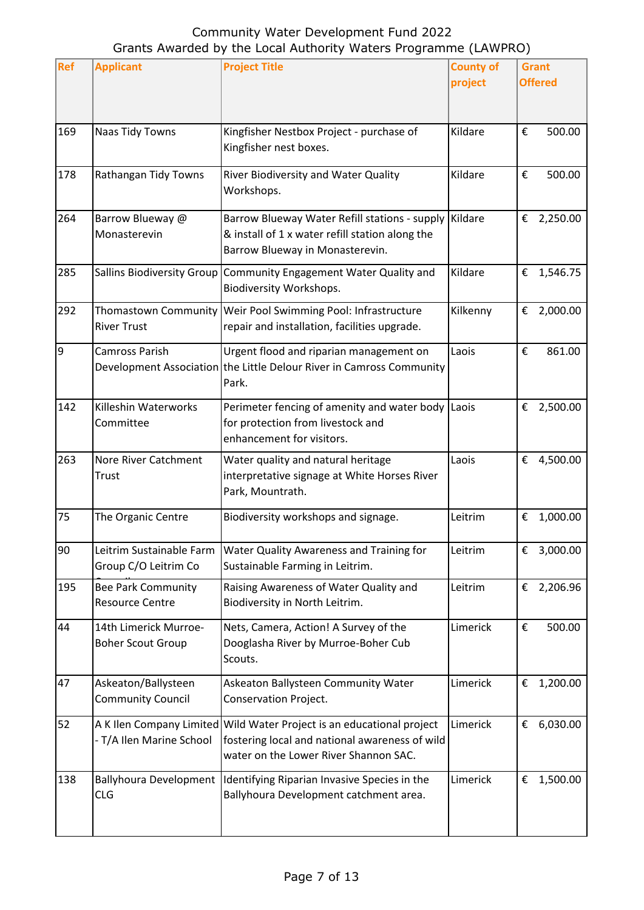| Ref | <b>Applicant</b>                                    | <b>Project Title</b>                                                                                                                                             | <b>County of</b><br>project | <b>Grant</b><br><b>Offered</b> |
|-----|-----------------------------------------------------|------------------------------------------------------------------------------------------------------------------------------------------------------------------|-----------------------------|--------------------------------|
|     |                                                     |                                                                                                                                                                  |                             |                                |
| 169 | Naas Tidy Towns                                     | Kingfisher Nestbox Project - purchase of<br>Kingfisher nest boxes.                                                                                               | Kildare                     | €<br>500.00                    |
| 178 | Rathangan Tidy Towns                                | River Biodiversity and Water Quality<br>Workshops.                                                                                                               | Kildare                     | €<br>500.00                    |
| 264 | Barrow Blueway @<br>Monasterevin                    | Barrow Blueway Water Refill stations - supply<br>& install of 1 x water refill station along the<br>Barrow Blueway in Monasterevin.                              | Kildare                     | 2,250.00<br>€                  |
| 285 |                                                     | Sallins Biodiversity Group   Community Engagement Water Quality and<br>Biodiversity Workshops.                                                                   | Kildare                     | €<br>1,546.75                  |
| 292 | Thomastown Community<br><b>River Trust</b>          | Weir Pool Swimming Pool: Infrastructure<br>repair and installation, facilities upgrade.                                                                          | Kilkenny                    | €<br>2,000.00                  |
| 9   | Camross Parish                                      | Urgent flood and riparian management on<br>Development Association the Little Delour River in Camross Community<br>Park.                                         | Laois                       | 861.00<br>€                    |
| 142 | Killeshin Waterworks<br>Committee                   | Perimeter fencing of amenity and water body Laois<br>for protection from livestock and<br>enhancement for visitors.                                              |                             | 2,500.00<br>€                  |
| 263 | Nore River Catchment<br>Trust                       | Water quality and natural heritage<br>interpretative signage at White Horses River<br>Park, Mountrath.                                                           | Laois                       | €<br>4,500.00                  |
| 75  | The Organic Centre                                  | Biodiversity workshops and signage.                                                                                                                              | Leitrim                     | €<br>1,000.00                  |
| 90  | Leitrim Sustainable Farm<br>Group C/O Leitrim Co    | Water Quality Awareness and Training for<br>Sustainable Farming in Leitrim.                                                                                      | Leitrim                     | 3,000.00<br>€                  |
| 195 | <b>Bee Park Community</b><br><b>Resource Centre</b> | Raising Awareness of Water Quality and<br>Biodiversity in North Leitrim.                                                                                         | Leitrim                     | 2,206.96<br>€                  |
| 44  | 14th Limerick Murroe-<br><b>Boher Scout Group</b>   | Nets, Camera, Action! A Survey of the<br>Dooglasha River by Murroe-Boher Cub<br>Scouts.                                                                          | Limerick                    | €<br>500.00                    |
| 47  | Askeaton/Ballysteen<br><b>Community Council</b>     | Askeaton Ballysteen Community Water<br>Conservation Project.                                                                                                     | Limerick                    | €<br>1,200.00                  |
| 52  | - T/A Ilen Marine School                            | A K Ilen Company Limited Wild Water Project is an educational project<br>fostering local and national awareness of wild<br>water on the Lower River Shannon SAC. | Limerick                    | 6,030.00<br>€                  |
| 138 | <b>Ballyhoura Development</b><br><b>CLG</b>         | Identifying Riparian Invasive Species in the<br>Ballyhoura Development catchment area.                                                                           | Limerick                    | €<br>1,500.00                  |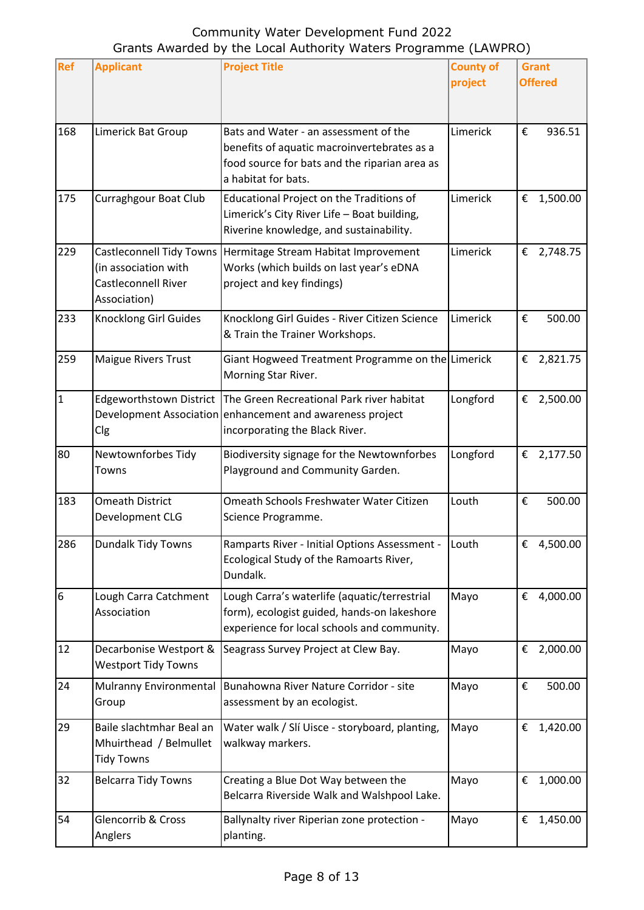| <b>Ref</b>       | <b>Applicant</b>                                                                               | <b>Project Title</b>                                                                                                                                         | <b>County of</b><br>project | <b>Grant</b><br><b>Offered</b> |
|------------------|------------------------------------------------------------------------------------------------|--------------------------------------------------------------------------------------------------------------------------------------------------------------|-----------------------------|--------------------------------|
| 168              | Limerick Bat Group                                                                             | Bats and Water - an assessment of the<br>benefits of aquatic macroinvertebrates as a<br>food source for bats and the riparian area as<br>a habitat for bats. | Limerick                    | €<br>936.51                    |
| 175              | <b>Curraghgour Boat Club</b>                                                                   | Educational Project on the Traditions of<br>Limerick's City River Life - Boat building,<br>Riverine knowledge, and sustainability.                           | Limerick                    | 1,500.00<br>€                  |
| 229              | <b>Castleconnell Tidy Towns</b><br>(in association with<br>Castleconnell River<br>Association) | Hermitage Stream Habitat Improvement<br>Works (which builds on last year's eDNA<br>project and key findings)                                                 | Limerick                    | €<br>2,748.75                  |
| 233              | <b>Knocklong Girl Guides</b>                                                                   | Knocklong Girl Guides - River Citizen Science<br>& Train the Trainer Workshops.                                                                              | Limerick                    | €<br>500.00                    |
| 259              | Maigue Rivers Trust                                                                            | Giant Hogweed Treatment Programme on the Limerick<br>Morning Star River.                                                                                     |                             | €<br>2,821.75                  |
| $\mathbf{1}$     | <b>Edgeworthstown District</b><br>Clg                                                          | The Green Recreational Park river habitat<br>Development Association enhancement and awareness project<br>incorporating the Black River.                     | Longford                    | 2,500.00<br>€                  |
| 80               | Newtownforbes Tidy<br>Towns                                                                    | Biodiversity signage for the Newtownforbes<br>Playground and Community Garden.                                                                               | Longford                    | € 2,177.50                     |
| 183              | <b>Omeath District</b><br>Development CLG                                                      | Omeath Schools Freshwater Water Citizen<br>Science Programme.                                                                                                | Louth                       | €<br>500.00                    |
| 286              | Dundalk Tidy Towns                                                                             | Ramparts River - Initial Options Assessment -<br>Ecological Study of the Ramoarts River,<br>Dundalk.                                                         | Louth                       | €<br>4,500.00                  |
| $\boldsymbol{6}$ | Lough Carra Catchment<br>Association                                                           | Lough Carra's waterlife (aquatic/terrestrial<br>form), ecologist guided, hands-on lakeshore<br>experience for local schools and community.                   | Mayo                        | €<br>4,000.00                  |
| 12               | Decarbonise Westport &<br><b>Westport Tidy Towns</b>                                           | Seagrass Survey Project at Clew Bay.                                                                                                                         | Mayo                        | 2,000.00<br>€                  |
| 24               | Mulranny Environmental<br>Group                                                                | Bunahowna River Nature Corridor - site<br>assessment by an ecologist.                                                                                        | Mayo                        | €<br>500.00                    |
| 29               | Baile slachtmhar Beal an<br>Mhuirthead / Belmullet<br><b>Tidy Towns</b>                        | Water walk / Slí Uisce - storyboard, planting,<br>walkway markers.                                                                                           | Mayo                        | €<br>1,420.00                  |
| 32               | <b>Belcarra Tidy Towns</b>                                                                     | Creating a Blue Dot Way between the<br>Belcarra Riverside Walk and Walshpool Lake.                                                                           | Mayo                        | 1,000.00<br>€                  |
| 54               | Glencorrib & Cross<br>Anglers                                                                  | Ballynalty river Riperian zone protection -<br>planting.                                                                                                     | Mayo                        | €<br>1,450.00                  |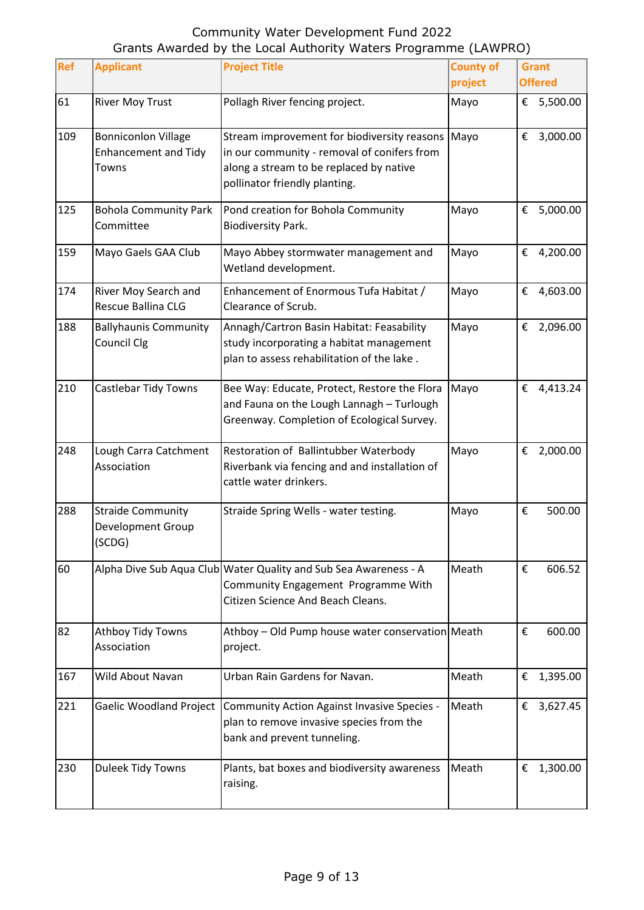| Ref | <b>Applicant</b>                                                   | <b>Project Title</b>                                                                                                                                                   | <b>County of</b><br>project | <b>Grant</b><br><b>Offered</b> |
|-----|--------------------------------------------------------------------|------------------------------------------------------------------------------------------------------------------------------------------------------------------------|-----------------------------|--------------------------------|
| 61  | <b>River Moy Trust</b>                                             | Pollagh River fencing project.                                                                                                                                         | Mayo                        | €<br>5,500.00                  |
| 109 | <b>Bonniconlon Village</b><br><b>Enhancement and Tidy</b><br>Towns | Stream improvement for biodiversity reasons<br>in our community - removal of conifers from<br>along a stream to be replaced by native<br>pollinator friendly planting. | Mayo                        | €<br>3,000.00                  |
| 125 | <b>Bohola Community Park</b><br>Committee                          | Pond creation for Bohola Community<br><b>Biodiversity Park.</b>                                                                                                        | Mayo                        | 5,000.00<br>€                  |
| 159 | Mayo Gaels GAA Club                                                | Mayo Abbey stormwater management and<br>Wetland development.                                                                                                           | Mayo                        | €<br>4,200.00                  |
| 174 | River Moy Search and<br>Rescue Ballina CLG                         | Enhancement of Enormous Tufa Habitat /<br>Clearance of Scrub.                                                                                                          | Mayo                        | €<br>4,603.00                  |
| 188 | <b>Ballyhaunis Community</b><br>Council Clg                        | Annagh/Cartron Basin Habitat: Feasability<br>study incorporating a habitat management<br>plan to assess rehabilitation of the lake.                                    | Mayo                        | 2,096.00<br>€                  |
| 210 | Castlebar Tidy Towns                                               | Bee Way: Educate, Protect, Restore the Flora<br>and Fauna on the Lough Lannagh - Turlough<br>Greenway. Completion of Ecological Survey.                                | Mayo                        | 4,413.24<br>€                  |
| 248 | Lough Carra Catchment<br>Association                               | Restoration of Ballintubber Waterbody<br>Riverbank via fencing and and installation of<br>cattle water drinkers.                                                       | Mayo                        | €<br>2,000.00                  |
| 288 | <b>Straide Community</b><br>Development Group<br>(SCDG)            | Straide Spring Wells - water testing.                                                                                                                                  | Mayo                        | 500.00<br>€                    |
| 60  |                                                                    | Alpha Dive Sub Aqua Club Water Quality and Sub Sea Awareness - A<br>Community Engagement Programme With<br>Citizen Science And Beach Cleans.                           | Meath                       | €<br>606.52                    |
| 82  | Athboy Tidy Towns<br>Association                                   | Athboy - Old Pump house water conservation Meath<br>project.                                                                                                           |                             | €<br>600.00                    |
| 167 | Wild About Navan                                                   | Urban Rain Gardens for Navan.                                                                                                                                          | Meath                       | €<br>1,395.00                  |
| 221 | Gaelic Woodland Project                                            | Community Action Against Invasive Species -<br>plan to remove invasive species from the<br>bank and prevent tunneling.                                                 | Meath                       | €<br>3,627.45                  |
| 230 | Duleek Tidy Towns                                                  | Plants, bat boxes and biodiversity awareness<br>raising.                                                                                                               | Meath                       | 1,300.00<br>€                  |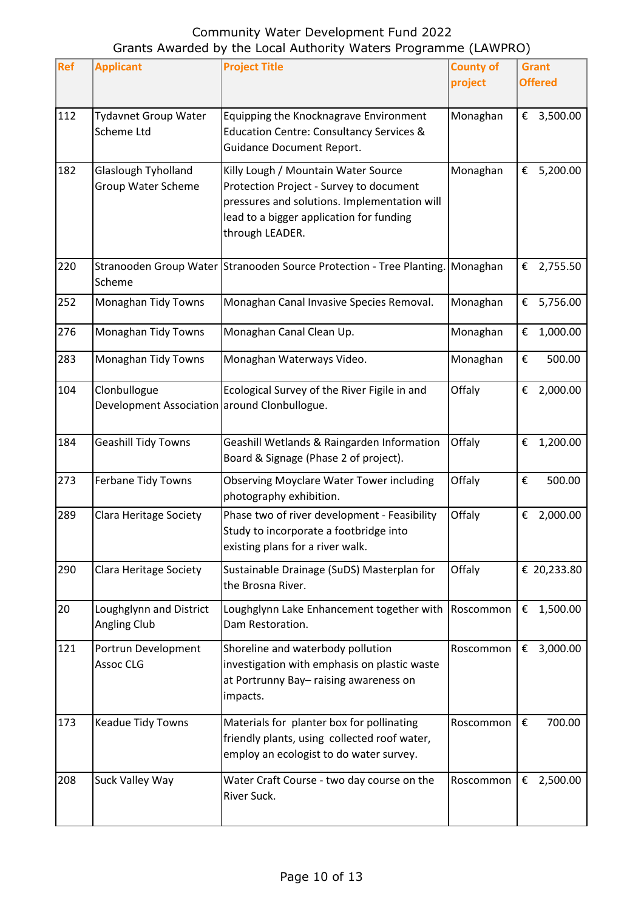| Ref | <b>Applicant</b>                                             | <b>Project Title</b>                                                                                                                                                                          | <b>County of</b><br>project | <b>Grant</b><br><b>Offered</b> |
|-----|--------------------------------------------------------------|-----------------------------------------------------------------------------------------------------------------------------------------------------------------------------------------------|-----------------------------|--------------------------------|
| 112 | <b>Tydavnet Group Water</b><br>Scheme Ltd                    | Equipping the Knocknagrave Environment<br><b>Education Centre: Consultancy Services &amp;</b><br><b>Guidance Document Report.</b>                                                             | Monaghan                    | € 3,500.00                     |
| 182 | Glaslough Tyholland<br>Group Water Scheme                    | Killy Lough / Mountain Water Source<br>Protection Project - Survey to document<br>pressures and solutions. Implementation will<br>lead to a bigger application for funding<br>through LEADER. | Monaghan                    | 5,200.00<br>€                  |
| 220 | Scheme                                                       | Stranooden Group Water Stranooden Source Protection - Tree Planting. Monaghan                                                                                                                 |                             | € 2,755.50                     |
| 252 | Monaghan Tidy Towns                                          | Monaghan Canal Invasive Species Removal.                                                                                                                                                      | Monaghan                    | €<br>5,756.00                  |
| 276 | Monaghan Tidy Towns                                          | Monaghan Canal Clean Up.                                                                                                                                                                      | Monaghan                    | 1,000.00<br>€                  |
| 283 | Monaghan Tidy Towns                                          | Monaghan Waterways Video.                                                                                                                                                                     | Monaghan                    | €<br>500.00                    |
| 104 | Clonbullogue<br>Development Association around Clonbullogue. | Ecological Survey of the River Figile in and                                                                                                                                                  | Offaly                      | 2,000.00<br>€                  |
| 184 | <b>Geashill Tidy Towns</b>                                   | Geashill Wetlands & Raingarden Information<br>Board & Signage (Phase 2 of project).                                                                                                           | Offaly                      | €<br>1,200.00                  |
| 273 | Ferbane Tidy Towns                                           | <b>Observing Moyclare Water Tower including</b><br>photography exhibition.                                                                                                                    | Offaly                      | €<br>500.00                    |
| 289 | Clara Heritage Society                                       | Phase two of river development - Feasibility<br>Study to incorporate a footbridge into<br>existing plans for a river walk.                                                                    | Offaly                      | 2,000.00<br>€                  |
| 290 | Clara Heritage Society                                       | Sustainable Drainage (SuDS) Masterplan for<br>the Brosna River.                                                                                                                               | Offaly                      | € 20,233.80                    |
| 20  | Loughglynn and District<br>Angling Club                      | Loughglynn Lake Enhancement together with<br>Dam Restoration.                                                                                                                                 | Roscommon                   | €<br>1,500.00                  |
| 121 | Portrun Development<br>Assoc CLG                             | Shoreline and waterbody pollution<br>investigation with emphasis on plastic waste<br>at Portrunny Bay-raising awareness on<br>impacts.                                                        | Roscommon                   | 3,000.00<br>€                  |
| 173 | Keadue Tidy Towns                                            | Materials for planter box for pollinating<br>friendly plants, using collected roof water,<br>employ an ecologist to do water survey.                                                          | Roscommon                   | €<br>700.00                    |
| 208 | Suck Valley Way                                              | Water Craft Course - two day course on the<br>River Suck.                                                                                                                                     | Roscommon                   | € 2,500.00                     |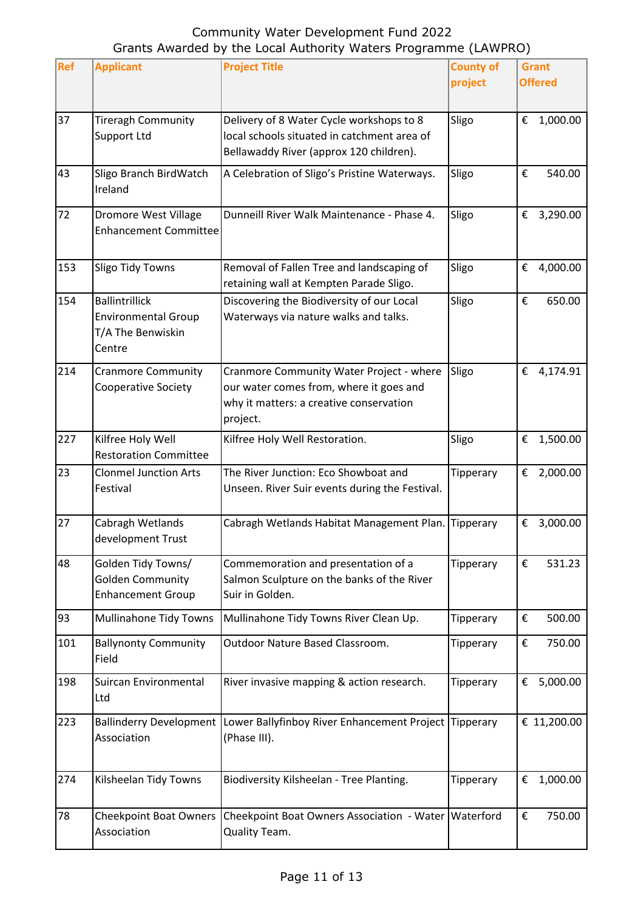| <b>Ref</b> | <b>Applicant</b>                                                                   | <b>Project Title</b>                                                                                                                       | <b>County of</b><br>project | <b>Grant</b><br><b>Offered</b> |
|------------|------------------------------------------------------------------------------------|--------------------------------------------------------------------------------------------------------------------------------------------|-----------------------------|--------------------------------|
| 37         | <b>Tireragh Community</b><br>Support Ltd                                           | Delivery of 8 Water Cycle workshops to 8<br>local schools situated in catchment area of<br>Bellawaddy River (approx 120 children).         | Sligo                       | 1,000.00<br>€                  |
| 43         | Sligo Branch BirdWatch<br>Ireland                                                  | A Celebration of Sligo's Pristine Waterways.                                                                                               | Sligo                       | €<br>540.00                    |
| 72         | <b>Dromore West Village</b><br><b>Enhancement Committee</b>                        | Dunneill River Walk Maintenance - Phase 4.                                                                                                 | Sligo                       | € 3,290.00                     |
| 153        | <b>Sligo Tidy Towns</b>                                                            | Removal of Fallen Tree and landscaping of<br>retaining wall at Kempten Parade Sligo.                                                       | Sligo                       | € 4,000.00                     |
| 154        | <b>Ballintrillick</b><br><b>Environmental Group</b><br>T/A The Benwiskin<br>Centre | Discovering the Biodiversity of our Local<br>Waterways via nature walks and talks.                                                         | Sligo                       | €<br>650.00                    |
| 214        | <b>Cranmore Community</b><br><b>Cooperative Society</b>                            | Cranmore Community Water Project - where<br>our water comes from, where it goes and<br>why it matters: a creative conservation<br>project. | Sligo                       | € 4,174.91                     |
| 227        | Kilfree Holy Well<br><b>Restoration Committee</b>                                  | Kilfree Holy Well Restoration.                                                                                                             | Sligo                       | 1,500.00<br>€                  |
| 23         | <b>Clonmel Junction Arts</b><br>Festival                                           | The River Junction: Eco Showboat and<br>Unseen. River Suir events during the Festival.                                                     | Tipperary                   | €<br>2,000.00                  |
| 27         | Cabragh Wetlands<br>development Trust                                              | Cabragh Wetlands Habitat Management Plan. Tipperary                                                                                        |                             | €<br>3,000.00                  |
| 48         | Golden Tidy Towns/<br><b>Golden Community</b><br><b>Enhancement Group</b>          | Commemoration and presentation of a<br>Salmon Sculpture on the banks of the River<br>Suir in Golden.                                       | Tipperary                   | €<br>531.23                    |
| 93         | Mullinahone Tidy Towns                                                             | Mullinahone Tidy Towns River Clean Up.                                                                                                     | Tipperary                   | €<br>500.00                    |
| 101        | <b>Ballynonty Community</b><br>Field                                               | Outdoor Nature Based Classroom.                                                                                                            | Tipperary                   | 750.00<br>€                    |
| 198        | Suircan Environmental<br>Ltd                                                       | River invasive mapping & action research.                                                                                                  | Tipperary                   | € 5,000.00                     |
| 223        | Association                                                                        | Ballinderry Development Lower Ballyfinboy River Enhancement Project Tipperary<br>(Phase III).                                              |                             | € 11,200.00                    |
| 274        | Kilsheelan Tidy Towns                                                              | Biodiversity Kilsheelan - Tree Planting.                                                                                                   | Tipperary                   | 1,000.00<br>€                  |
| 78         | <b>Cheekpoint Boat Owners</b><br>Association                                       | Cheekpoint Boat Owners Association - Water Waterford<br>Quality Team.                                                                      |                             | €<br>750.00                    |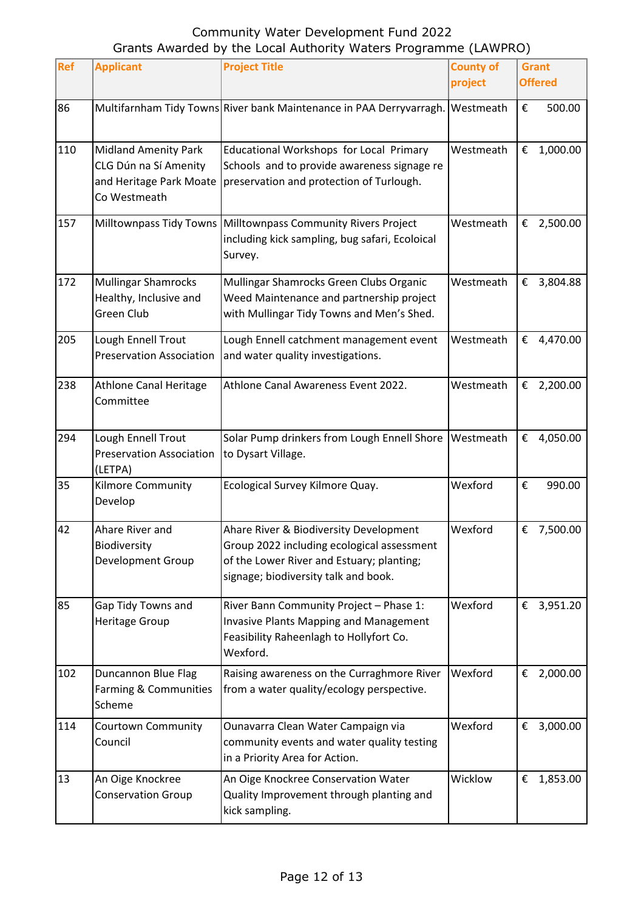| Ref | <b>Applicant</b>                                                                                | <b>Project Title</b>                                                                                                                                                      | <b>County of</b><br>project |   | <b>Grant</b><br><b>Offered</b> |
|-----|-------------------------------------------------------------------------------------------------|---------------------------------------------------------------------------------------------------------------------------------------------------------------------------|-----------------------------|---|--------------------------------|
| 86  |                                                                                                 | Multifarnham Tidy Towns River bank Maintenance in PAA Derryvarragh.                                                                                                       | Westmeath                   | € | 500.00                         |
| 110 | <b>Midland Amenity Park</b><br>CLG Dún na Sí Amenity<br>and Heritage Park Moate<br>Co Westmeath | Educational Workshops for Local Primary<br>Schools and to provide awareness signage re<br>preservation and protection of Turlough.                                        | Westmeath                   | € | 1,000.00                       |
| 157 |                                                                                                 | Milltownpass Tidy Towns Milltownpass Community Rivers Project<br>including kick sampling, bug safari, Ecoloical<br>Survey.                                                | Westmeath                   |   | € 2,500.00                     |
| 172 | <b>Mullingar Shamrocks</b><br>Healthy, Inclusive and<br>Green Club                              | Mullingar Shamrocks Green Clubs Organic<br>Weed Maintenance and partnership project<br>with Mullingar Tidy Towns and Men's Shed.                                          | Westmeath                   | € | 3,804.88                       |
| 205 | Lough Ennell Trout<br><b>Preservation Association</b>                                           | Lough Ennell catchment management event<br>and water quality investigations.                                                                                              | Westmeath                   | € | 4,470.00                       |
| 238 | <b>Athlone Canal Heritage</b><br>Committee                                                      | Athlone Canal Awareness Event 2022.                                                                                                                                       | Westmeath                   |   | € 2,200.00                     |
| 294 | Lough Ennell Trout<br><b>Preservation Association</b><br>(LETPA)                                | Solar Pump drinkers from Lough Ennell Shore<br>to Dysart Village.                                                                                                         | Westmeath                   | € | 4,050.00                       |
| 35  | <b>Kilmore Community</b><br>Develop                                                             | Ecological Survey Kilmore Quay.                                                                                                                                           | Wexford                     | € | 990.00                         |
| 42  | Ahare River and<br>Biodiversity<br>Development Group                                            | Ahare River & Biodiversity Development<br>Group 2022 including ecological assessment<br>of the Lower River and Estuary; planting;<br>signage; biodiversity talk and book. | Wexford                     |   | € 7,500.00                     |
| 85  | Gap Tidy Towns and<br>Heritage Group                                                            | River Bann Community Project - Phase 1:<br><b>Invasive Plants Mapping and Management</b><br>Feasibility Raheenlagh to Hollyfort Co.<br>Wexford.                           | Wexford                     |   | € 3,951.20                     |
| 102 | Duncannon Blue Flag<br>Farming & Communities<br>Scheme                                          | Raising awareness on the Curraghmore River<br>from a water quality/ecology perspective.                                                                                   | Wexford                     | € | 2,000.00                       |
| 114 | Courtown Community<br>Council                                                                   | Ounavarra Clean Water Campaign via<br>community events and water quality testing<br>in a Priority Area for Action.                                                        | Wexford                     | € | 3,000.00                       |
| 13  | An Oige Knockree<br><b>Conservation Group</b>                                                   | An Oige Knockree Conservation Water<br>Quality Improvement through planting and<br>kick sampling.                                                                         | Wicklow                     | € | 1,853.00                       |